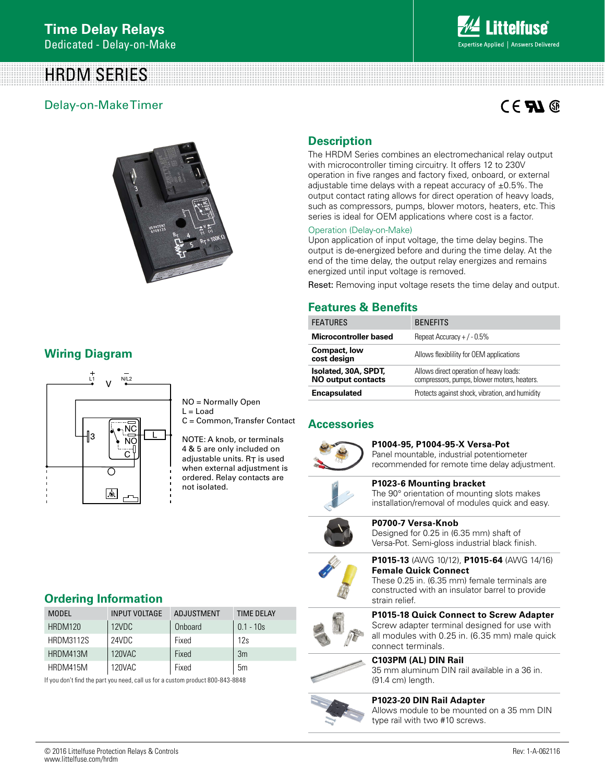# HRDM SERIES

## Delay-on-Make Timer

# $C \in \mathbf{F}$   $\mathbf{M}$   $\circledcirc$



## **Wiring Diagram**



NO = Normally Open  $L =$  Load

C = Common, Transfer Contact

NOTE: A knob, or terminals 4 & 5 are only included on adjustable units.  $R_T$  is used when external adjustment is ordered. Relay contacts are not isolated.

# **Description**

The HRDM Series combines an electromechanical relay output with microcontroller timing circuitry. It offers 12 to 230V operation in five ranges and factory fixed, onboard, or external adjustable time delays with a repeat accuracy of  $\pm 0.5$ %. The output contact rating allows for direct operation of heavy loads, such as compressors, pumps, blower motors, heaters, etc. This series is ideal for OEM applications where cost is a factor.

#### Operation (Delay-on-Make)

Upon application of input voltage, the time delay begins. The output is de-energized before and during the time delay. At the end of the time delay, the output relay energizes and remains energized until input voltage is removed.

Reset: Removing input voltage resets the time delay and output.

#### **Features & Benefits**

| <b>FEATURES</b>                                   | <b>BENEFITS</b>                                                                        |
|---------------------------------------------------|----------------------------------------------------------------------------------------|
| Microcontroller based                             | Repeat Accuracy + $/ -0.5%$                                                            |
| Compact, low<br>cost design                       | Allows flexibility for OEM applications                                                |
| Isolated, 30A, SPDT,<br><b>NO output contacts</b> | Allows direct operation of heavy loads:<br>compressors, pumps, blower moters, heaters. |
| <b>Encapsulated</b>                               | Protects against shock, vibration, and humidity                                        |

#### **Accessories**



**P1004-95, P1004-95-X Versa-Pot** Panel mountable, industrial potentiometer

recommended for remote time delay adjustment.



**P1023-6 Mounting bracket**  The 90° orientation of mounting slots makes installation/removal of modules quick and easy.



**P0700-7 Versa-Knob**  Designed for 0.25 in (6.35 mm) shaft of Versa-Pot. Semi-gloss industrial black finish.



**P1015-13** (AWG 10/12), **P1015-64** (AWG 14/16) **Female Quick Connect**

These 0.25 in. (6.35 mm) female terminals are constructed with an insulator barrel to provide strain relief.



**P1015-18 Quick Connect to Screw Adapter** Screw adapter terminal designed for use with all modules with 0.25 in. (6.35 mm) male quick connect terminals.



# **C103PM (AL) DIN Rail**

35 mm aluminum DIN rail available in a 36 in. (91.4 cm) length.



**P1023-20 DIN Rail Adapter** Allows module to be mounted on a 35 mm DIN type rail with two #10 screws.

# **Ordering Information**

| <b>MODEL</b>     | <b>INPUT VOLTAGE</b> | ADJUSTMENT | <b>TIME DEI AY</b> |
|------------------|----------------------|------------|--------------------|
| HRDM120          | 12VDC                | Onboard    | $0.1 - 10s$        |
| <b>HRDM3112S</b> | 24VDC                | Fixed      | 12s                |
| HRDM413M         | 120VAC               | Fixed      | 3m                 |
| HRDM415M         | 120VAC               | Fixed      | 5m                 |

If you don't find the part you need, call us for a custom product 800-843-8848